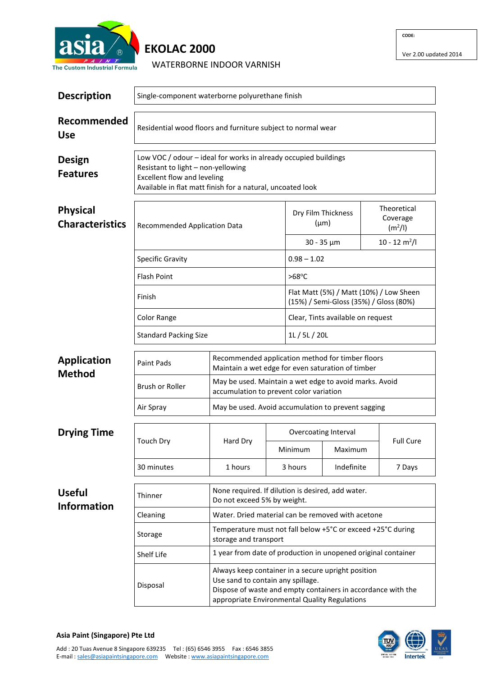

## **EKOLAC 2000**

WATERBORNE INDOOR VARNISH

| <b>Description</b>                        | Single-component waterborne polyurethane finish                                                                                                                                                           |                                                                                                       |               |                                                                                                                                                                     |                             |                                                |  |  |
|-------------------------------------------|-----------------------------------------------------------------------------------------------------------------------------------------------------------------------------------------------------------|-------------------------------------------------------------------------------------------------------|---------------|---------------------------------------------------------------------------------------------------------------------------------------------------------------------|-----------------------------|------------------------------------------------|--|--|
| Recommended<br><b>Use</b>                 | Residential wood floors and furniture subject to normal wear                                                                                                                                              |                                                                                                       |               |                                                                                                                                                                     |                             |                                                |  |  |
| <b>Design</b><br><b>Features</b>          | Low VOC / odour - ideal for works in already occupied buildings<br>Resistant to light - non-yellowing<br><b>Excellent flow and leveling</b><br>Available in flat matt finish for a natural, uncoated look |                                                                                                       |               |                                                                                                                                                                     |                             |                                                |  |  |
| <b>Physical</b><br><b>Characteristics</b> | <b>Recommended Application Data</b>                                                                                                                                                                       |                                                                                                       |               | Dry Film Thickness<br>$(\mu m)$                                                                                                                                     |                             | Theoretical<br>Coverage<br>(m <sup>2</sup> /I) |  |  |
|                                           |                                                                                                                                                                                                           |                                                                                                       |               | $30 - 35 \mu m$                                                                                                                                                     |                             | $10 - 12$ m <sup>2</sup> /l                    |  |  |
|                                           | <b>Specific Gravity</b>                                                                                                                                                                                   |                                                                                                       |               | $0.98 - 1.02$                                                                                                                                                       |                             |                                                |  |  |
|                                           | <b>Flash Point</b>                                                                                                                                                                                        |                                                                                                       |               | $>68^{\circ}$ C                                                                                                                                                     |                             |                                                |  |  |
|                                           | Finish                                                                                                                                                                                                    |                                                                                                       |               | Flat Matt (5%) / Matt (10%) / Low Sheen<br>(15%) / Semi-Gloss (35%) / Gloss (80%)                                                                                   |                             |                                                |  |  |
|                                           | Color Range                                                                                                                                                                                               |                                                                                                       |               | Clear, Tints available on request                                                                                                                                   |                             |                                                |  |  |
|                                           | <b>Standard Packing Size</b>                                                                                                                                                                              |                                                                                                       | 1L / 5L / 20L |                                                                                                                                                                     |                             |                                                |  |  |
| <b>Application</b><br><b>Method</b>       | <b>Paint Pads</b>                                                                                                                                                                                         | Recommended application method for timber floors<br>Maintain a wet edge for even saturation of timber |               |                                                                                                                                                                     |                             |                                                |  |  |
|                                           | Brush or Roller                                                                                                                                                                                           | May be used. Maintain a wet edge to avoid marks. Avoid<br>accumulation to prevent color variation     |               |                                                                                                                                                                     |                             |                                                |  |  |
|                                           | Air Spray                                                                                                                                                                                                 | May be used. Avoid accumulation to prevent sagging                                                    |               |                                                                                                                                                                     |                             |                                                |  |  |
| <b>Drying Time</b>                        |                                                                                                                                                                                                           | Hard Dry                                                                                              |               | Overcoating Interval                                                                                                                                                |                             |                                                |  |  |
|                                           | Touch Dry                                                                                                                                                                                                 |                                                                                                       |               | Minimum                                                                                                                                                             | <b>Full Cure</b><br>Maximum |                                                |  |  |
|                                           | 30 minutes                                                                                                                                                                                                | 1 hours                                                                                               |               | 3 hours                                                                                                                                                             | Indefinite                  | 7 Days                                         |  |  |
| <b>Useful</b><br><b>Information</b>       | Thinner                                                                                                                                                                                                   | None required. If dilution is desired, add water.<br>Do not exceed 5% by weight.                      |               |                                                                                                                                                                     |                             |                                                |  |  |
|                                           | Cleaning                                                                                                                                                                                                  | Water. Dried material can be removed with acetone                                                     |               |                                                                                                                                                                     |                             |                                                |  |  |
|                                           | Storage                                                                                                                                                                                                   | Temperature must not fall below +5°C or exceed +25°C during<br>storage and transport                  |               |                                                                                                                                                                     |                             |                                                |  |  |
|                                           | Shelf Life                                                                                                                                                                                                | 1 year from date of production in unopened original container                                         |               |                                                                                                                                                                     |                             |                                                |  |  |
|                                           | Disposal                                                                                                                                                                                                  | Use sand to contain any spillage.                                                                     |               | Always keep container in a secure upright position<br>Dispose of waste and empty containers in accordance with the<br>appropriate Environmental Quality Regulations |                             |                                                |  |  |



## **Asia Paint (Singapore) Pte Ltd**